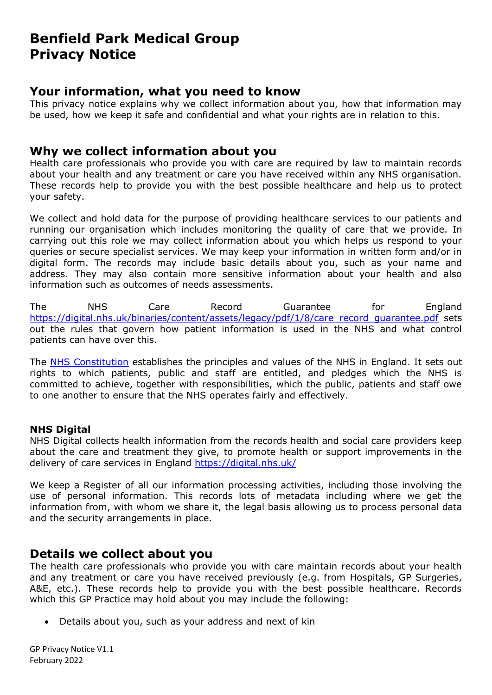# **Benfield Park Medical Group Privacy Notice**

# **Your information, what you need to know**

This privacy notice explains why we collect information about you, how that information may be used, how we keep it safe and confidential and what your rights are in relation to this.

# **Why we collect information about you**

Health care professionals who provide you with care are required by law to maintain records about your health and any treatment or care you have received within any NHS organisation. These records help to provide you with the best possible healthcare and help us to protect your safety.

We collect and hold data for the purpose of providing healthcare services to our patients and running our organisation which includes monitoring the quality of care that we provide. In carrying out this role we may collect information about you which helps us respond to your queries or secure specialist services. We may keep your information in written form and/or in digital form. The records may include basic details about you, such as your name and address. They may also contain more sensitive information about your health and also information such as outcomes of needs assessments.

The NHS Care Record Guarantee for England [https://digital.nhs.uk/binaries/content/assets/legacy/pdf/1/8/care\\_record\\_guarantee.pdf](https://digital.nhs.uk/binaries/content/assets/legacy/pdf/1/8/care_record_guarantee.pdf) sets out the rules that govern how patient information is used in the NHS and what control patients can have over this.

The [NHS Constitution](https://www.gov.uk/government/publications/the-nhs-constitution-for-england) establishes the principles and values of the NHS in England. It sets out rights to which patients, public and staff are entitled, and pledges which the NHS is committed to achieve, together with responsibilities, which the public, patients and staff owe to one another to ensure that the NHS operates fairly and effectively.

# **NHS Digital**

NHS Digital collects health information from the records health and social care providers keep about the care and treatment they give, to promote health or support improvements in the delivery of care services in England <https://digital.nhs.uk/>

We keep a Register of all our information processing activities, including those involving the use of personal information. This records lots of metadata including where we get the information from, with whom we share it, the legal basis allowing us to process personal data and the security arrangements in place.

# **Details we collect about you**

The health care professionals who provide you with care maintain records about your health and any treatment or care you have received previously (e.g. from Hospitals, GP Surgeries, A&E, etc.). These records help to provide you with the best possible healthcare. Records which this GP Practice may hold about you may include the following:

• Details about you, such as your address and next of kin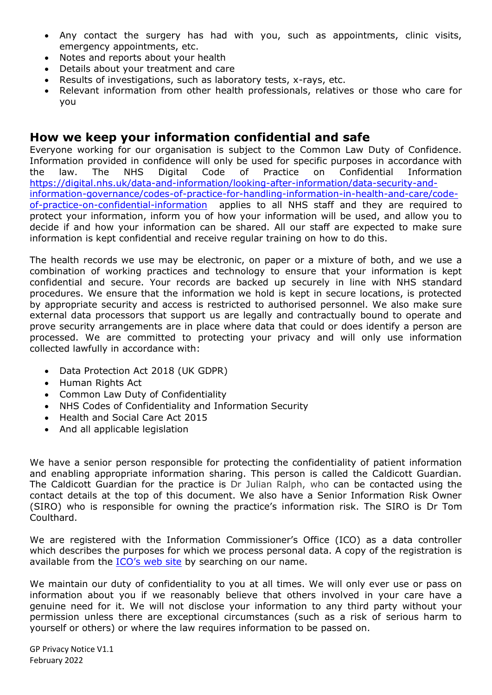- Any contact the surgery has had with you, such as appointments, clinic visits, emergency appointments, etc.
- Notes and reports about your health
- Details about your treatment and care
- Results of investigations, such as laboratory tests, x-rays, etc.
- Relevant information from other health professionals, relatives or those who care for you

# **How we keep your information confidential and safe**

Everyone working for our organisation is subject to the Common Law Duty of Confidence. Information provided in confidence will only be used for specific purposes in accordance with the law. The NHS Digital Code of Practice on Confidential Information [https://digital.nhs.uk/data-and-information/looking-after-information/data-security-and](https://digital.nhs.uk/data-and-information/looking-after-information/data-security-and-information-governance/codes-of-practice-for-handling-information-in-health-and-care/code-of-practice-on-confidential-information)[information-governance/codes-of-practice-for-handling-information-in-health-and-care/code](https://digital.nhs.uk/data-and-information/looking-after-information/data-security-and-information-governance/codes-of-practice-for-handling-information-in-health-and-care/code-of-practice-on-confidential-information)[of-practice-on-confidential-information](https://digital.nhs.uk/data-and-information/looking-after-information/data-security-and-information-governance/codes-of-practice-for-handling-information-in-health-and-care/code-of-practice-on-confidential-information) applies to all NHS staff and they are required to protect your information, inform you of how your information will be used, and allow you to decide if and how your information can be shared. All our staff are expected to make sure information is kept confidential and receive regular training on how to do this.

The health records we use may be electronic, on paper or a mixture of both, and we use a combination of working practices and technology to ensure that your information is kept confidential and secure. Your records are backed up securely in line with NHS standard procedures. We ensure that the information we hold is kept in secure locations, is protected by appropriate security and access is restricted to authorised personnel. We also make sure external data processors that support us are legally and contractually bound to operate and prove security arrangements are in place where data that could or does identify a person are processed. We are committed to protecting your privacy and will only use information collected lawfully in accordance with:

- Data Protection Act 2018 (UK GDPR)
- Human Rights Act
- Common Law Duty of Confidentiality
- NHS Codes of Confidentiality and Information Security
- Health and Social Care Act 2015
- And all applicable legislation

We have a senior person responsible for protecting the confidentiality of patient information and enabling appropriate information sharing. This person is called the Caldicott Guardian. The Caldicott Guardian for the practice is Dr Julian Ralph, who can be contacted using the contact details at the top of this document. We also have a Senior Information Risk Owner (SIRO) who is responsible for owning the practice's information risk. The SIRO is Dr Tom Coulthard.

We are registered with the Information Commissioner's Office (ICO) as a data controller which describes the purposes for which we process personal data. A copy of the registration is available from the [ICO's web site](https://ico.org.uk/about-the-ico/what-we-do/register-of-data-controllers/) by searching on our name.

We maintain our duty of confidentiality to you at all times. We will only ever use or pass on information about you if we reasonably believe that others involved in your care have a genuine need for it. We will not disclose your information to any third party without your permission unless there are exceptional circumstances (such as a risk of serious harm to yourself or others) or where the law requires information to be passed on.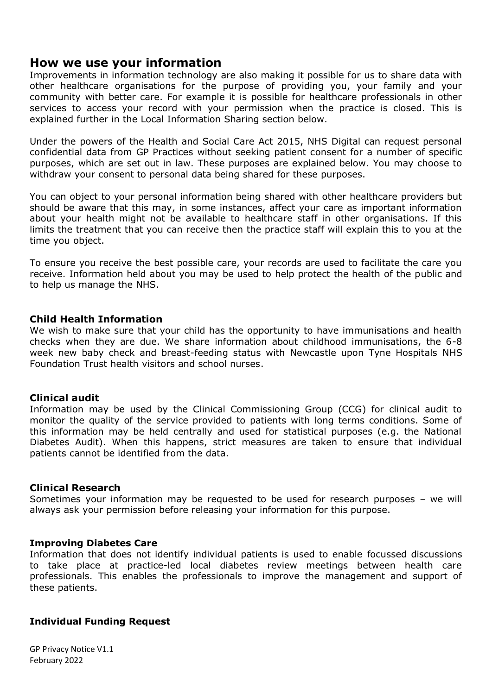# **How we use your information**

Improvements in information technology are also making it possible for us to share data with other healthcare organisations for the purpose of providing you, your family and your community with better care. For example it is possible for healthcare professionals in other services to access your record with your permission when the practice is closed. This is explained further in the Local Information Sharing section below.

Under the powers of the Health and Social Care Act 2015, NHS Digital can request personal confidential data from GP Practices without seeking patient consent for a number of specific purposes, which are set out in law. These purposes are explained below. You may choose to withdraw your consent to personal data being shared for these purposes.

You can object to your personal information being shared with other healthcare providers but should be aware that this may, in some instances, affect your care as important information about your health might not be available to healthcare staff in other organisations. If this limits the treatment that you can receive then the practice staff will explain this to you at the time you object.

To ensure you receive the best possible care, your records are used to facilitate the care you receive. Information held about you may be used to help protect the health of the public and to help us manage the NHS.

#### **Child Health Information**

We wish to make sure that your child has the opportunity to have immunisations and health checks when they are due. We share information about childhood immunisations, the 6-8 week new baby check and breast-feeding status with Newcastle upon Tyne Hospitals NHS Foundation Trust health visitors and school nurses.

## **Clinical audit**

Information may be used by the Clinical Commissioning Group (CCG) for clinical audit to monitor the quality of the service provided to patients with long terms conditions. Some of this information may be held centrally and used for statistical purposes (e.g. the National Diabetes Audit). When this happens, strict measures are taken to ensure that individual patients cannot be identified from the data.

#### **Clinical Research**

Sometimes your information may be requested to be used for research purposes – we will always ask your permission before releasing your information for this purpose.

#### **Improving Diabetes Care**

Information that does not identify individual patients is used to enable focussed discussions to take place at practice-led local diabetes review meetings between health care professionals. This enables the professionals to improve the management and support of these patients.

## **Individual Funding Request**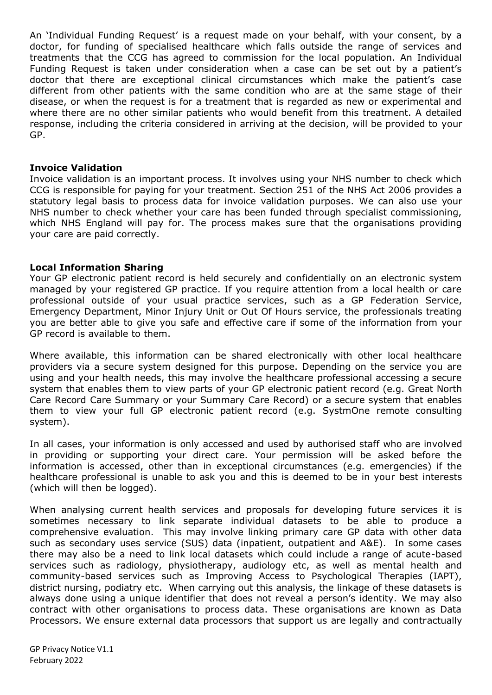An 'Individual Funding Request' is a request made on your behalf, with your consent, by a doctor, for funding of specialised healthcare which falls outside the range of services and treatments that the CCG has agreed to commission for the local population. An Individual Funding Request is taken under consideration when a case can be set out by a patient's doctor that there are exceptional clinical circumstances which make the patient's case different from other patients with the same condition who are at the same stage of their disease, or when the request is for a treatment that is regarded as new or experimental and where there are no other similar patients who would benefit from this treatment. A detailed response, including the criteria considered in arriving at the decision, will be provided to your GP.

#### **Invoice Validation**

Invoice validation is an important process. It involves using your NHS number to check which CCG is responsible for paying for your treatment. Section 251 of the NHS Act 2006 provides a statutory legal basis to process data for invoice validation purposes. We can also use your NHS number to check whether your care has been funded through specialist commissioning, which NHS England will pay for. The process makes sure that the organisations providing your care are paid correctly.

## **Local Information Sharing**

Your GP electronic patient record is held securely and confidentially on an electronic system managed by your registered GP practice. If you require attention from a local health or care professional outside of your usual practice services, such as a GP Federation Service, Emergency Department, Minor Injury Unit or Out Of Hours service, the professionals treating you are better able to give you safe and effective care if some of the information from your GP record is available to them.

Where available, this information can be shared electronically with other local healthcare providers via a secure system designed for this purpose. Depending on the service you are using and your health needs, this may involve the healthcare professional accessing a secure system that enables them to view parts of your GP electronic patient record (e.g. Great North Care Record Care Summary or your Summary Care Record) or a secure system that enables them to view your full GP electronic patient record (e.g. SystmOne remote consulting system).

In all cases, your information is only accessed and used by authorised staff who are involved in providing or supporting your direct care. Your permission will be asked before the information is accessed, other than in exceptional circumstances (e.g. emergencies) if the healthcare professional is unable to ask you and this is deemed to be in your best interests (which will then be logged).

When analysing current health services and proposals for developing future services it is sometimes necessary to link separate individual datasets to be able to produce a comprehensive evaluation. This may involve linking primary care GP data with other data such as secondary uses service (SUS) data (inpatient, outpatient and A&E). In some cases there may also be a need to link local datasets which could include a range of acute-based services such as radiology, physiotherapy, audiology etc, as well as mental health and community-based services such as Improving Access to Psychological Therapies (IAPT), district nursing, podiatry etc. When carrying out this analysis, the linkage of these datasets is always done using a unique identifier that does not reveal a person's identity. We may also contract with other organisations to process data. These organisations are known as Data Processors. We ensure external data processors that support us are legally and contractually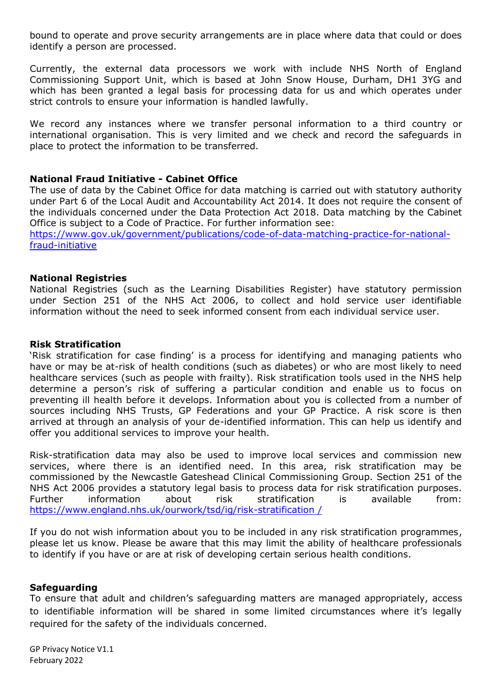bound to operate and prove security arrangements are in place where data that could or does identify a person are processed.

Currently, the external data processors we work with include NHS North of England Commissioning Support Unit, which is based at John Snow House, Durham, DH1 3YG and which has been granted a legal basis for processing data for us and which operates under strict controls to ensure your information is handled lawfully.

We record any instances where we transfer personal information to a third country or international organisation. This is very limited and we check and record the safeguards in place to protect the information to be transferred.

## **National Fraud Initiative - Cabinet Office**

The use of data by the Cabinet Office for data matching is carried out with statutory authority under Part 6 of the Local Audit and Accountability Act 2014. It does not require the consent of the individuals concerned under the Data Protection Act 2018. Data matching by the Cabinet Office is subject to a Code of Practice. For further information see:

[https://www.gov.uk/government/publications/code-of-data-matching-practice-for-national](https://www.gov.uk/government/publications/code-of-data-matching-practice-for-national-fraud-initiative)[fraud-initiative](https://www.gov.uk/government/publications/code-of-data-matching-practice-for-national-fraud-initiative)

#### **National Registries**

National Registries (such as the Learning Disabilities Register) have statutory permission under Section 251 of the NHS Act 2006, to collect and hold service user identifiable information without the need to seek informed consent from each individual service user.

#### **Risk Stratification**

'Risk stratification for case finding' is a process for identifying and managing patients who have or may be at-risk of health conditions (such as diabetes) or who are most likely to need healthcare services (such as people with frailty). Risk stratification tools used in the NHS help determine a person's risk of suffering a particular condition and enable us to focus on preventing ill health before it develops. Information about you is collected from a number of sources including NHS Trusts, GP Federations and your GP Practice. A risk score is then arrived at through an analysis of your de-identified information. This can help us identify and offer you additional services to improve your health.

Risk-stratification data may also be used to improve local services and commission new services, where there is an identified need. In this area, risk stratification may be commissioned by the Newcastle Gateshead Clinical Commissioning Group. Section 251 of the NHS Act 2006 provides a statutory legal basis to process data for risk stratification purposes. Further information about risk stratification is available from: [https://www.england.nhs.uk/ourwork/tsd/ig/risk-stratification /](https://www.england.nhs.uk/ourwork/tsd/ig/risk-stratification%20/)

If you do not wish information about you to be included in any risk stratification programmes, please let us know. Please be aware that this may limit the ability of healthcare professionals to identify if you have or are at risk of developing certain serious health conditions.

#### **Safeguarding**

To ensure that adult and children's safeguarding matters are managed appropriately, access to identifiable information will be shared in some limited circumstances where it's legally required for the safety of the individuals concerned.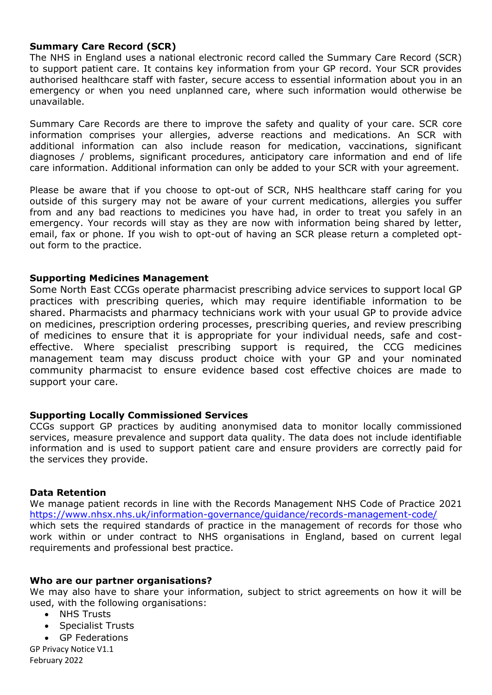## **Summary Care Record (SCR)**

The NHS in England uses a national electronic record called the Summary Care Record (SCR) to support patient care. It contains key information from your GP record. Your SCR provides authorised healthcare staff with faster, secure access to essential information about you in an emergency or when you need unplanned care, where such information would otherwise be unavailable.

Summary Care Records are there to improve the safety and quality of your care. SCR core information comprises your allergies, adverse reactions and medications. An SCR with additional information can also include reason for medication, vaccinations, significant diagnoses / problems, significant procedures, anticipatory care information and end of life care information. Additional information can only be added to your SCR with your agreement.

Please be aware that if you choose to opt-out of SCR, NHS healthcare staff caring for you outside of this surgery may not be aware of your current medications, allergies you suffer from and any bad reactions to medicines you have had, in order to treat you safely in an emergency. Your records will stay as they are now with information being shared by letter, email, fax or phone. If you wish to opt-out of having an SCR please return a completed optout form to the practice.

#### **Supporting Medicines Management**

Some North East CCGs operate pharmacist prescribing advice services to support local GP practices with prescribing queries, which may require identifiable information to be shared. Pharmacists and pharmacy technicians work with your usual GP to provide advice on medicines, prescription ordering processes, prescribing queries, and review prescribing of medicines to ensure that it is appropriate for your individual needs, safe and costeffective. Where specialist prescribing support is required, the CCG medicines management team may discuss product choice with your GP and your nominated community pharmacist to ensure evidence based cost effective choices are made to support your care.

## **Supporting Locally Commissioned Services**

CCGs support GP practices by auditing anonymised data to monitor locally commissioned services, measure prevalence and support data quality. The data does not include identifiable information and is used to support patient care and ensure providers are correctly paid for the services they provide.

#### **Data Retention**

We manage patient records in line with the Records Management NHS Code of Practice 2021 <https://www.nhsx.nhs.uk/information-governance/guidance/records-management-code/> which sets the required standards of practice in the management of records for those who work within or under contract to NHS organisations in England, based on current legal requirements and professional best practice.

#### **Who are our partner organisations?**

We may also have to share your information, subject to strict agreements on how it will be used, with the following organisations:

- NHS Trusts
- Specialist Trusts
- GP Federations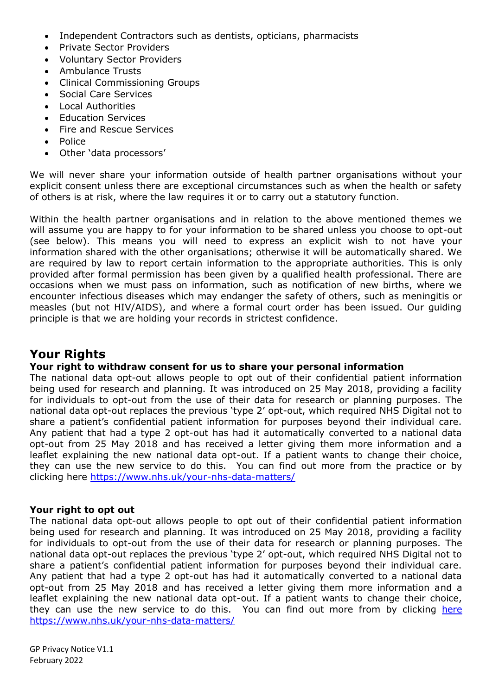- Independent Contractors such as dentists, opticians, pharmacists
- Private Sector Providers
- Voluntary Sector Providers
- Ambulance Trusts
- Clinical Commissioning Groups
- Social Care Services
- Local Authorities
- Education Services
- Fire and Rescue Services
- Police
- Other 'data processors'

We will never share your information outside of health partner organisations without your explicit consent unless there are exceptional circumstances such as when the health or safety of others is at risk, where the law requires it or to carry out a statutory function.

Within the health partner organisations and in relation to the above mentioned themes we will assume you are happy to for your information to be shared unless you choose to opt-out (see below). This means you will need to express an explicit wish to not have your information shared with the other organisations; otherwise it will be automatically shared. We are required by law to report certain information to the appropriate authorities. This is only provided after formal permission has been given by a qualified health professional. There are occasions when we must pass on information, such as notification of new births, where we encounter infectious diseases which may endanger the safety of others, such as meningitis or measles (but not HIV/AIDS), and where a formal court order has been issued. Our guiding principle is that we are holding your records in strictest confidence.

# **Your Rights**

## **Your right to withdraw consent for us to share your personal information**

The national data opt-out allows people to opt out of their confidential patient information being used for research and planning. It was introduced on 25 May 2018, providing a facility for individuals to opt-out from the use of their data for research or planning purposes. The national data opt-out replaces the previous 'type 2' opt-out, which required NHS Digital not to share a patient's confidential patient information for purposes beyond their individual care. Any patient that had a type 2 opt-out has had it automatically converted to a national data opt-out from 25 May 2018 and has received a letter giving them more information and a leaflet explaining the new national data opt-out. If a patient wants to change their choice, they can use the new service to do this. You can find out more from the practice or by clicking here<https://www.nhs.uk/your-nhs-data-matters/>

## **Your right to opt out**

The national data opt-out allows people to opt out of their confidential patient information being used for research and planning. It was introduced on 25 May 2018, providing a facility for individuals to opt-out from the use of their data for research or planning purposes. The national data opt-out replaces the previous 'type 2' opt-out, which required NHS Digital not to share a patient's confidential patient information for purposes beyond their individual care. Any patient that had a type 2 opt-out has had it automatically converted to a national data opt-out from 25 May 2018 and has received a letter giving them more information and a leaflet explaining the new national data opt-out. If a patient wants to change their choice, they can use the new service to do this. You can find out more from by clicking [here](https://www.nhs.uk/your-nhs-data-matters/) <https://www.nhs.uk/your-nhs-data-matters/>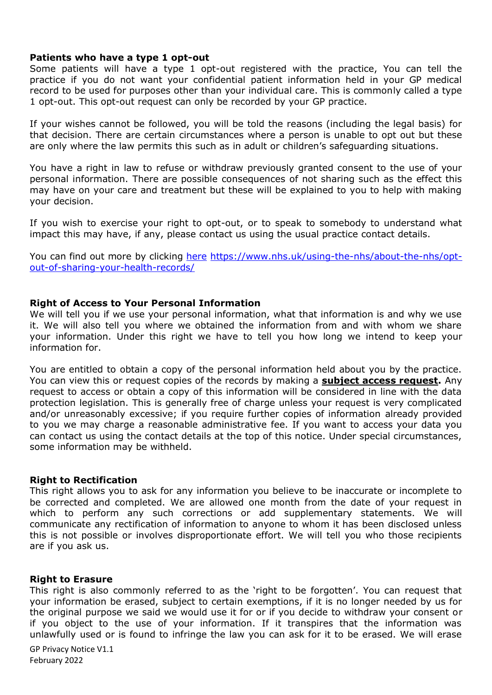#### **Patients who have a type 1 opt-out**

Some patients will have a type 1 opt-out registered with the practice, You can tell the practice if you do not want your confidential patient information held in your GP medical record to be used for purposes other than your individual care. This is commonly called a type 1 opt-out. This opt-out request can only be recorded by your GP practice.

If your wishes cannot be followed, you will be told the reasons (including the legal basis) for that decision. There are certain circumstances where a person is unable to opt out but these are only where the law permits this such as in adult or children's safeguarding situations.

You have a right in law to refuse or withdraw previously granted consent to the use of your personal information. There are possible consequences of not sharing such as the effect this may have on your care and treatment but these will be explained to you to help with making your decision.

If you wish to exercise your right to opt-out, or to speak to somebody to understand what impact this may have, if any, please contact us using the usual practice contact details.

You can find out more by clicking [here](https://www.nhs.uk/using-the-nhs/about-the-nhs/opt-out-of-sharing-your-health-records/) [https://www.nhs.uk/using-the-nhs/about-the-nhs/opt](https://www.nhs.uk/using-the-nhs/about-the-nhs/opt-out-of-sharing-your-health-records/)[out-of-sharing-your-health-records/](https://www.nhs.uk/using-the-nhs/about-the-nhs/opt-out-of-sharing-your-health-records/)

## **Right of Access to Your Personal Information**

We will tell you if we use your personal information, what that information is and why we use it. We will also tell you where we obtained the information from and with whom we share your information. Under this right we have to tell you how long we intend to keep your information for.

You are entitled to obtain a copy of the personal information held about you by the practice. You can view this or request copies of the records by making a **[subject access request.](https://ico.org.uk/for-the-public/personal-information/)** Any request to access or obtain a copy of this information will be considered in line with the data protection legislation. This is generally free of charge unless your request is very complicated and/or unreasonably excessive; if you require further copies of information already provided to you we may charge a reasonable administrative fee. If you want to access your data you can contact us using the contact details at the top of this notice. Under special circumstances, some information may be withheld.

#### **Right to Rectification**

This right allows you to ask for any information you believe to be inaccurate or incomplete to be corrected and completed. We are allowed one month from the date of your request in which to perform any such corrections or add supplementary statements. We will communicate any rectification of information to anyone to whom it has been disclosed unless this is not possible or involves disproportionate effort. We will tell you who those recipients are if you ask us.

#### **Right to Erasure**

This right is also commonly referred to as the 'right to be forgotten'. You can request that your information be erased, subject to certain exemptions, if it is no longer needed by us for the original purpose we said we would use it for or if you decide to withdraw your consent or if you object to the use of your information. If it transpires that the information was unlawfully used or is found to infringe the law you can ask for it to be erased. We will erase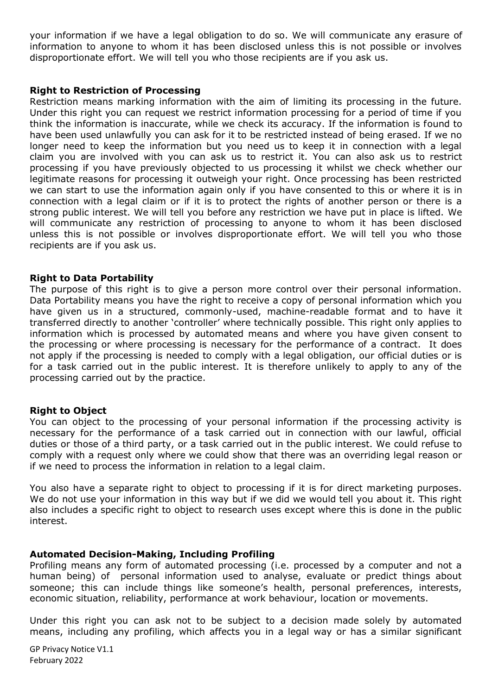your information if we have a legal obligation to do so. We will communicate any erasure of information to anyone to whom it has been disclosed unless this is not possible or involves disproportionate effort. We will tell you who those recipients are if you ask us.

#### **Right to Restriction of Processing**

Restriction means marking information with the aim of limiting its processing in the future. Under this right you can request we restrict information processing for a period of time if you think the information is inaccurate, while we check its accuracy. If the information is found to have been used unlawfully you can ask for it to be restricted instead of being erased. If we no longer need to keep the information but you need us to keep it in connection with a legal claim you are involved with you can ask us to restrict it. You can also ask us to restrict processing if you have previously objected to us processing it whilst we check whether our legitimate reasons for processing it outweigh your right. Once processing has been restricted we can start to use the information again only if you have consented to this or where it is in connection with a legal claim or if it is to protect the rights of another person or there is a strong public interest. We will tell you before any restriction we have put in place is lifted. We will communicate any restriction of processing to anyone to whom it has been disclosed unless this is not possible or involves disproportionate effort. We will tell you who those recipients are if you ask us.

#### **Right to Data Portability**

The purpose of this right is to give a person more control over their personal information. Data Portability means you have the right to receive a copy of personal information which you have given us in a structured, commonly-used, machine-readable format and to have it transferred directly to another 'controller' where technically possible. This right only applies to information which is processed by automated means and where you have given consent to the processing or where processing is necessary for the performance of a contract. It does not apply if the processing is needed to comply with a legal obligation, our official duties or is for a task carried out in the public interest. It is therefore unlikely to apply to any of the processing carried out by the practice.

#### **Right to Object**

You can object to the processing of your personal information if the processing activity is necessary for the performance of a task carried out in connection with our lawful, official duties or those of a third party, or a task carried out in the public interest. We could refuse to comply with a request only where we could show that there was an overriding legal reason or if we need to process the information in relation to a legal claim.

You also have a separate right to object to processing if it is for direct marketing purposes. We do not use your information in this way but if we did we would tell you about it. This right also includes a specific right to object to research uses except where this is done in the public interest.

#### **Automated Decision-Making, Including Profiling**

Profiling means any form of automated processing (i.e. processed by a computer and not a human being) of personal information used to analyse, evaluate or predict things about someone; this can include things like someone's health, personal preferences, interests, economic situation, reliability, performance at work behaviour, location or movements.

Under this right you can ask not to be subject to a decision made solely by automated means, including any profiling, which affects you in a legal way or has a similar significant